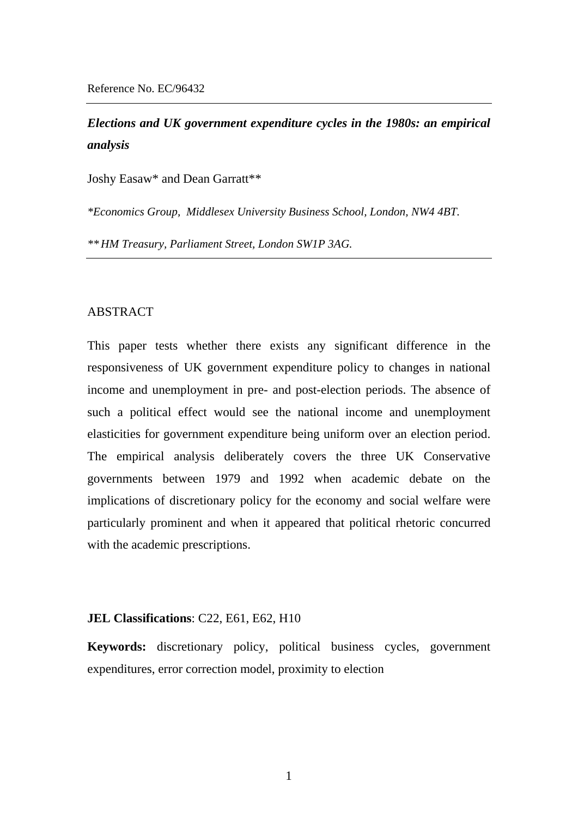# *Elections and UK government expenditure cycles in the 1980s: an empirical analysis*

Joshy Easaw\* and Dean Garratt\*\*

*\*Economics Group, Middlesex University Business School, London, NW4 4BT.* 

*\*\* HM Treasury, Parliament Street, London SW1P 3AG.*

## ABSTRACT

This paper tests whether there exists any significant difference in the responsiveness of UK government expenditure policy to changes in national income and unemployment in pre- and post-election periods. The absence of such a political effect would see the national income and unemployment elasticities for government expenditure being uniform over an election period. The empirical analysis deliberately covers the three UK Conservative governments between 1979 and 1992 when academic debate on the implications of discretionary policy for the economy and social welfare were particularly prominent and when it appeared that political rhetoric concurred with the academic prescriptions.

## **JEL Classifications**: C22, E61, E62, H10

**Keywords:** discretionary policy, political business cycles, government expenditures, error correction model, proximity to election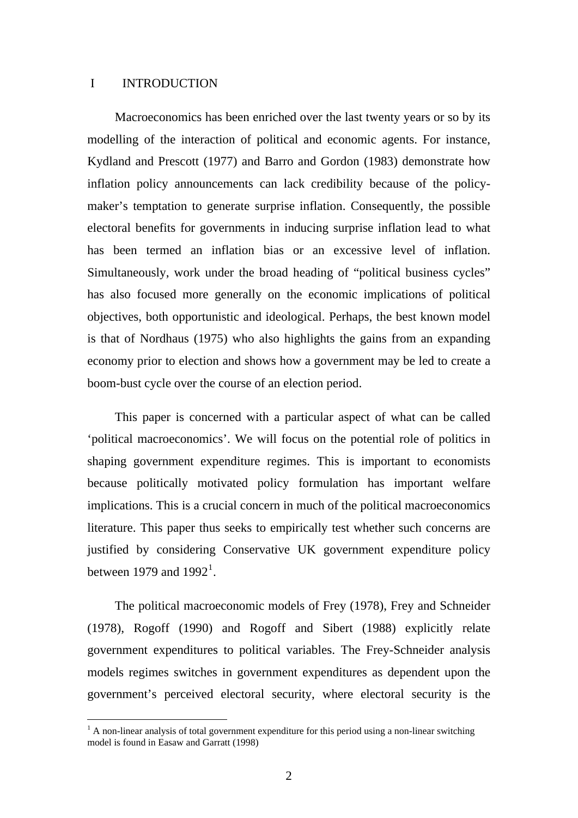## I INTRODUCTION

 $\overline{a}$ 

Macroeconomics has been enriched over the last twenty years or so by its modelling of the interaction of political and economic agents. For instance, Kydland and Prescott (1977) and Barro and Gordon (1983) demonstrate how inflation policy announcements can lack credibility because of the policymaker's temptation to generate surprise inflation. Consequently, the possible electoral benefits for governments in inducing surprise inflation lead to what has been termed an inflation bias or an excessive level of inflation. Simultaneously, work under the broad heading of "political business cycles" has also focused more generally on the economic implications of political objectives, both opportunistic and ideological. Perhaps, the best known model is that of Nordhaus (1975) who also highlights the gains from an expanding economy prior to election and shows how a government may be led to create a boom-bust cycle over the course of an election period.

This paper is concerned with a particular aspect of what can be called 'political macroeconomics'. We will focus on the potential role of politics in shaping government expenditure regimes. This is important to economists because politically motivated policy formulation has important welfare implications. This is a crucial concern in much of the political macroeconomics literature. This paper thus seeks to empirically test whether such concerns are justified by considering Conservative UK government expenditure policy between [1](#page-1-0)979 and  $1992<sup>1</sup>$ .

The political macroeconomic models of Frey (1978), Frey and Schneider (1978), Rogoff (1990) and Rogoff and Sibert (1988) explicitly relate government expenditures to political variables. The Frey-Schneider analysis models regimes switches in government expenditures as dependent upon the government's perceived electoral security, where electoral security is the

<span id="page-1-0"></span> $<sup>1</sup>$  A non-linear analysis of total government expenditure for this period using a non-linear switching</sup> model is found in Easaw and Garratt (1998)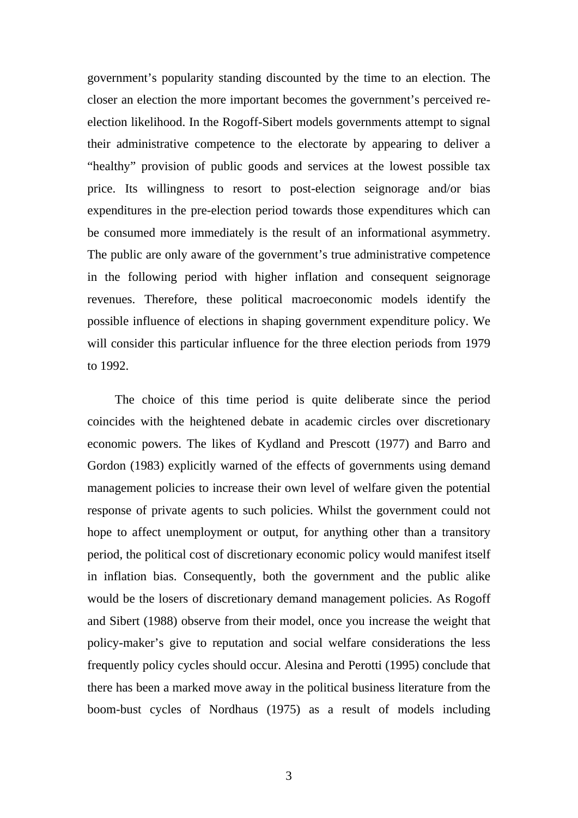government's popularity standing discounted by the time to an election. The closer an election the more important becomes the government's perceived reelection likelihood. In the Rogoff-Sibert models governments attempt to signal their administrative competence to the electorate by appearing to deliver a "healthy" provision of public goods and services at the lowest possible tax price. Its willingness to resort to post-election seignorage and/or bias expenditures in the pre-election period towards those expenditures which can be consumed more immediately is the result of an informational asymmetry. The public are only aware of the government's true administrative competence in the following period with higher inflation and consequent seignorage revenues. Therefore, these political macroeconomic models identify the possible influence of elections in shaping government expenditure policy. We will consider this particular influence for the three election periods from 1979 to 1992.

The choice of this time period is quite deliberate since the period coincides with the heightened debate in academic circles over discretionary economic powers. The likes of Kydland and Prescott (1977) and Barro and Gordon (1983) explicitly warned of the effects of governments using demand management policies to increase their own level of welfare given the potential response of private agents to such policies. Whilst the government could not hope to affect unemployment or output, for anything other than a transitory period, the political cost of discretionary economic policy would manifest itself in inflation bias. Consequently, both the government and the public alike would be the losers of discretionary demand management policies. As Rogoff and Sibert (1988) observe from their model, once you increase the weight that policy-maker's give to reputation and social welfare considerations the less frequently policy cycles should occur. Alesina and Perotti (1995) conclude that there has been a marked move away in the political business literature from the boom-bust cycles of Nordhaus (1975) as a result of models including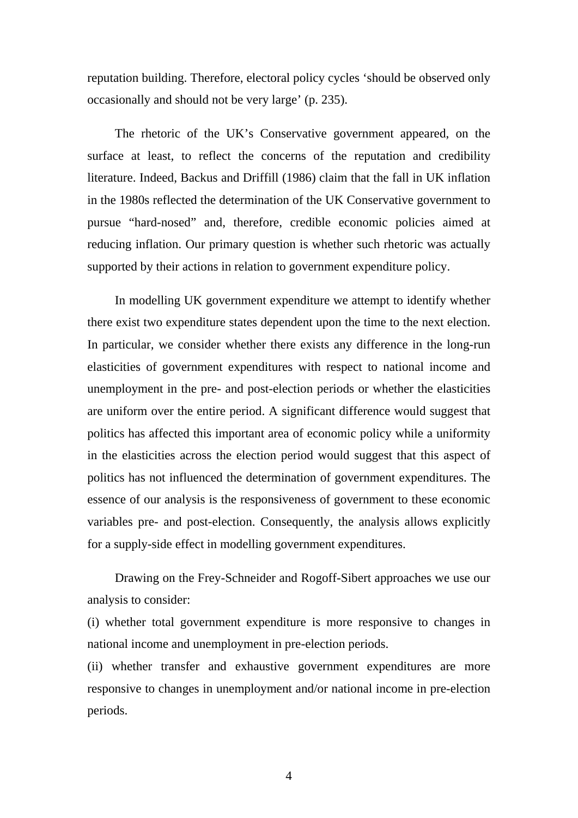reputation building. Therefore, electoral policy cycles 'should be observed only occasionally and should not be very large' (p. 235).

The rhetoric of the UK's Conservative government appeared, on the surface at least, to reflect the concerns of the reputation and credibility literature. Indeed, Backus and Driffill (1986) claim that the fall in UK inflation in the 1980s reflected the determination of the UK Conservative government to pursue "hard-nosed" and, therefore, credible economic policies aimed at reducing inflation. Our primary question is whether such rhetoric was actually supported by their actions in relation to government expenditure policy.

In modelling UK government expenditure we attempt to identify whether there exist two expenditure states dependent upon the time to the next election. In particular, we consider whether there exists any difference in the long-run elasticities of government expenditures with respect to national income and unemployment in the pre- and post-election periods or whether the elasticities are uniform over the entire period. A significant difference would suggest that politics has affected this important area of economic policy while a uniformity in the elasticities across the election period would suggest that this aspect of politics has not influenced the determination of government expenditures. The essence of our analysis is the responsiveness of government to these economic variables pre- and post-election. Consequently, the analysis allows explicitly for a supply-side effect in modelling government expenditures.

Drawing on the Frey-Schneider and Rogoff-Sibert approaches we use our analysis to consider:

(i) whether total government expenditure is more responsive to changes in national income and unemployment in pre-election periods.

(ii) whether transfer and exhaustive government expenditures are more responsive to changes in unemployment and/or national income in pre-election periods.

4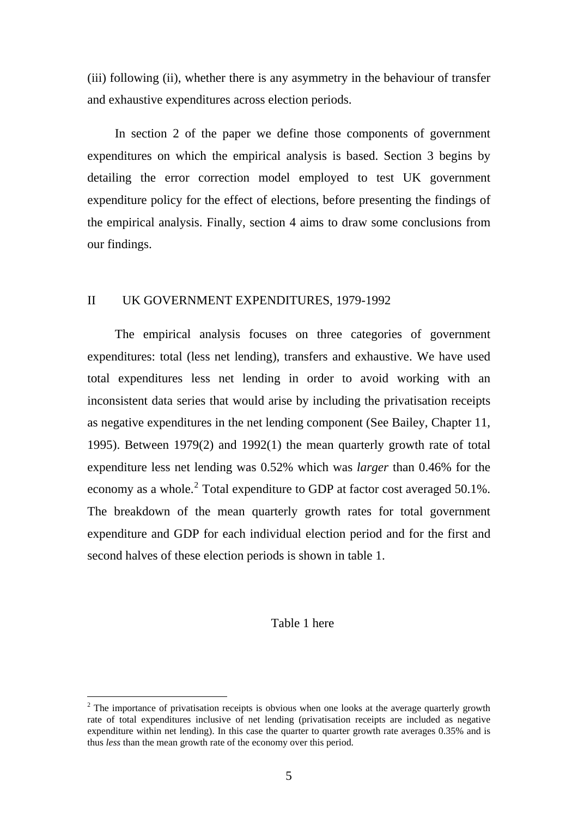(iii) following (ii), whether there is any asymmetry in the behaviour of transfer and exhaustive expenditures across election periods.

In section 2 of the paper we define those components of government expenditures on which the empirical analysis is based. Section 3 begins by detailing the error correction model employed to test UK government expenditure policy for the effect of elections, before presenting the findings of the empirical analysis. Finally, section 4 aims to draw some conclusions from our findings.

#### II UK GOVERNMENT EXPENDITURES, 1979-1992

The empirical analysis focuses on three categories of government expenditures: total (less net lending), transfers and exhaustive. We have used total expenditures less net lending in order to avoid working with an inconsistent data series that would arise by including the privatisation receipts as negative expenditures in the net lending component (See Bailey, Chapter 11, 1995). Between 1979(2) and 1992(1) the mean quarterly growth rate of total expenditure less net lending was 0.52% which was *larger* than 0.46% for the economy as a whole.<sup>[2](#page-4-0)</sup> Total expenditure to GDP at factor cost averaged 50.1%. The breakdown of the mean quarterly growth rates for total government expenditure and GDP for each individual election period and for the first and second halves of these election periods is shown in table 1.

# Table 1 here

 $\overline{a}$ 

<span id="page-4-0"></span> $2$  The importance of privatisation receipts is obvious when one looks at the average quarterly growth rate of total expenditures inclusive of net lending (privatisation receipts are included as negative expenditure within net lending). In this case the quarter to quarter growth rate averages 0.35% and is thus *less* than the mean growth rate of the economy over this period.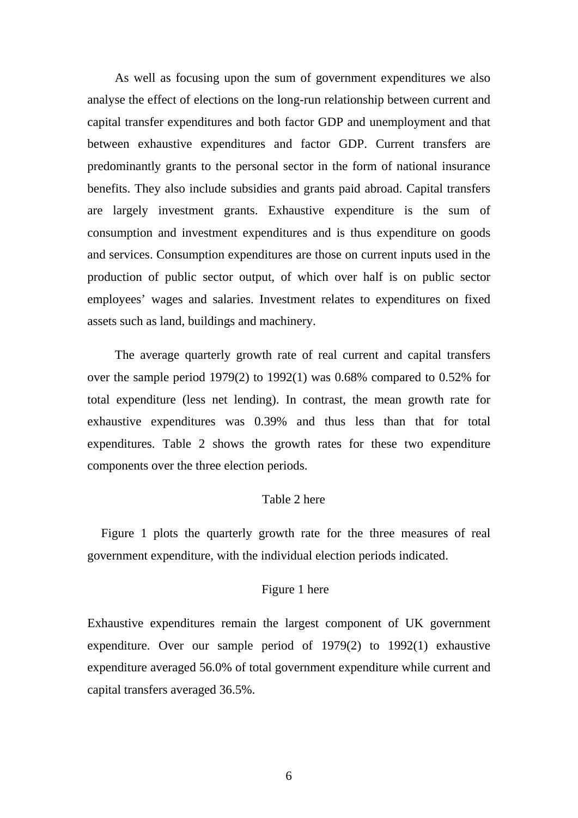As well as focusing upon the sum of government expenditures we also analyse the effect of elections on the long-run relationship between current and capital transfer expenditures and both factor GDP and unemployment and that between exhaustive expenditures and factor GDP. Current transfers are predominantly grants to the personal sector in the form of national insurance benefits. They also include subsidies and grants paid abroad. Capital transfers are largely investment grants. Exhaustive expenditure is the sum of consumption and investment expenditures and is thus expenditure on goods and services. Consumption expenditures are those on current inputs used in the production of public sector output, of which over half is on public sector employees' wages and salaries. Investment relates to expenditures on fixed assets such as land, buildings and machinery.

The average quarterly growth rate of real current and capital transfers over the sample period 1979(2) to 1992(1) was 0.68% compared to 0.52% for total expenditure (less net lending). In contrast, the mean growth rate for exhaustive expenditures was 0.39% and thus less than that for total expenditures. Table 2 shows the growth rates for these two expenditure components over the three election periods.

#### Table 2 here

Figure 1 plots the quarterly growth rate for the three measures of real government expenditure, with the individual election periods indicated.

# Figure 1 here

Exhaustive expenditures remain the largest component of UK government expenditure. Over our sample period of 1979(2) to 1992(1) exhaustive expenditure averaged 56.0% of total government expenditure while current and capital transfers averaged 36.5%.

6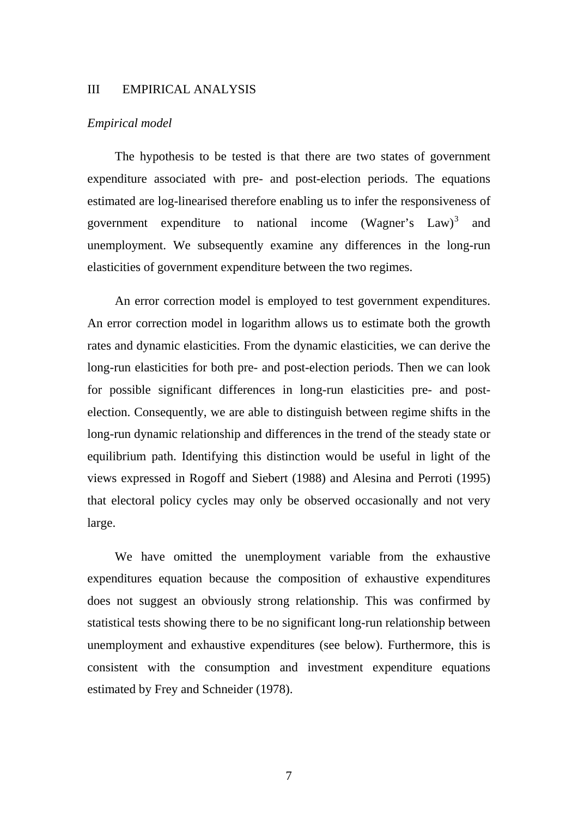#### III EMPIRICAL ANALYSIS

#### *Empirical model*

The hypothesis to be tested is that there are two states of government expenditure associated with pre- and post-election periods. The equations estimated are log-linearised therefore enabling us to infer the responsiveness of government expenditure to national income (Wagner's  $Law^3$  $Law^3$  and unemployment. We subsequently examine any differences in the long-run elasticities of government expenditure between the two regimes.

An error correction model is employed to test government expenditures. An error correction model in logarithm allows us to estimate both the growth rates and dynamic elasticities. From the dynamic elasticities, we can derive the long-run elasticities for both pre- and post-election periods. Then we can look for possible significant differences in long-run elasticities pre- and postelection. Consequently, we are able to distinguish between regime shifts in the long-run dynamic relationship and differences in the trend of the steady state or equilibrium path. Identifying this distinction would be useful in light of the views expressed in Rogoff and Siebert (1988) and Alesina and Perroti (1995) that electoral policy cycles may only be observed occasionally and not very large.

<span id="page-6-0"></span>We have omitted the unemployment variable from the exhaustive expenditures equation because the composition of exhaustive expenditures does not suggest an obviously strong relationship. This was confirmed by statistical tests showing there to be no significant long-run relationship between unemployment and exhaustive expenditures (see below). Furthermore, this is consistent with the consumption and investment expenditure equations estimated by Frey and Schneider (1978).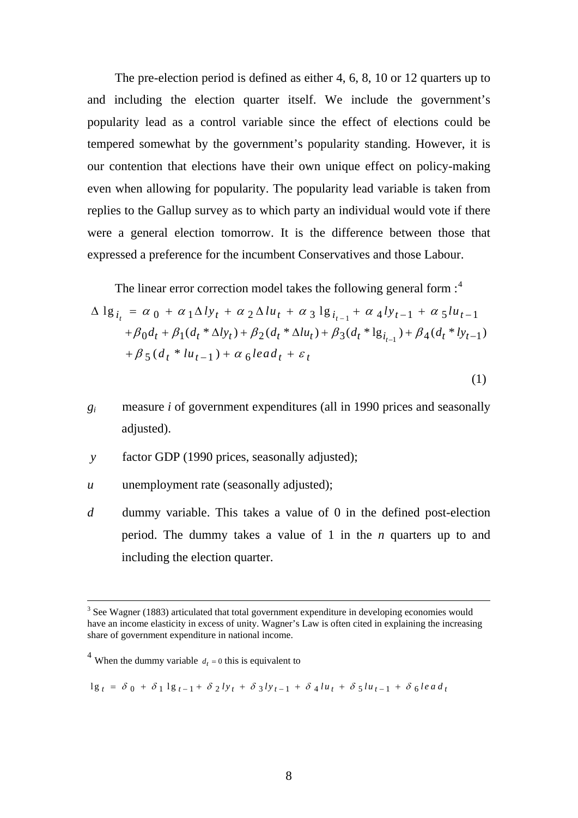The pre-election period is defined as either 4, 6, 8, 10 or 12 quarters up to and including the election quarter itself. We include the government's popularity lead as a control variable since the effect of elections could be tempered somewhat by the government's popularity standing. However, it is our contention that elections have their own unique effect on policy-making even when allowing for popularity. The popularity lead variable is taken from replies to the Gallup survey as to which party an individual would vote if there were a general election tomorrow. It is the difference between those that expressed a preference for the incumbent Conservatives and those Labour.

The linear error correction model takes the following general form  $:$ <sup>[4](#page-7-0)</sup>

$$
\Delta \lg_{i_t} = \alpha_0 + \alpha_1 \Delta l y_t + \alpha_2 \Delta l u_t + \alpha_3 \lg_{i_{t-1}} + \alpha_4 l y_{t-1} + \alpha_5 l u_{t-1} + \beta_0 d_t + \beta_1 (d_t * \Delta l y_t) + \beta_2 (d_t * \Delta l u_t) + \beta_3 (d_t * l g_{i_{t-1}}) + \beta_4 (d_t * l y_{t-1}) + \beta_5 (d_t * l u_{t-1}) + \alpha_6 lead_t + \varepsilon_t
$$

- (1)
- *gi* measure *i* of government expenditures (all in 1990 prices and seasonally adjusted).
- *y* factor GDP (1990 prices, seasonally adjusted);
- *u* unemployment rate (seasonally adjusted);
- *d* dummy variable. This takes a value of 0 in the defined post-election period. The dummy takes a value of 1 in the *n* quarters up to and including the election quarter.

 $\overline{a}$ 

$$
1g_{t} = \delta_{0} + \delta_{1} 1g_{t-1} + \delta_{2} l y_{t} + \delta_{3} l y_{t-1} + \delta_{4} l u_{t} + \delta_{5} l u_{t-1} + \delta_{6} l e a d_{t}
$$

 $3$  See Wagner (1883) articulated that total government expenditure in developing economies would have an income elasticity in excess of unity. Wagner's Law is often cited in explaining the increasing share of government expenditure in national income.

<span id="page-7-0"></span><sup>&</sup>lt;sup>4</sup> When the dummy variable  $d_t = 0$  this is equivalent to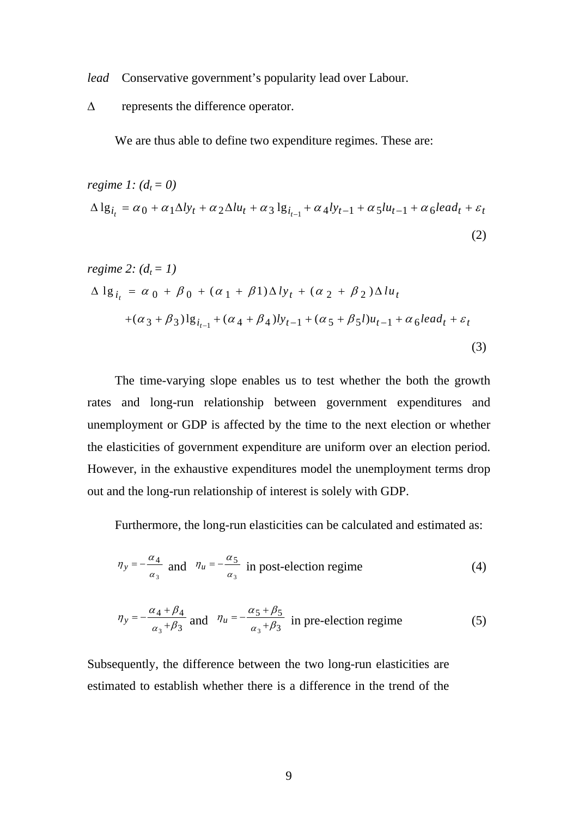*lead* Conservative government's popularity lead over Labour.

Δ represents the difference operator.

We are thus able to define two expenditure regimes. These are:

$$
regime 1: (d_t = 0)
$$
  
\n
$$
\Delta \lg_{i_t} = \alpha_0 + \alpha_1 \Delta l y_t + \alpha_2 \Delta l u_t + \alpha_3 \lg_{i_{t-1}} + \alpha_4 l y_{t-1} + \alpha_5 l u_{t-1} + \alpha_6 l e a d_t + \varepsilon_t
$$
\n(2)

regime 2: 
$$
(d_t = 1)
$$
  
\n
$$
\Delta \lg_{i_t} = \alpha_0 + \beta_0 + (\alpha_1 + \beta_1) \Delta l y_t + (\alpha_2 + \beta_2) \Delta l u_t +(\alpha_3 + \beta_3) \lg_{i_{t-1}} + (\alpha_4 + \beta_4) l y_{t-1} + (\alpha_5 + \beta_5) u_{t-1} + \alpha_6 lead_t + \varepsilon_t
$$
\n(3)

The time-varying slope enables us to test whether the both the growth rates and long-run relationship between government expenditures and unemployment or GDP is affected by the time to the next election or whether the elasticities of government expenditure are uniform over an election period. However, in the exhaustive expenditures model the unemployment terms drop out and the long-run relationship of interest is solely with GDP.

Furthermore, the long-run elasticities can be calculated and estimated as:

$$
\eta_y = -\frac{\alpha_4}{\alpha_3} \text{ and } \eta_u = -\frac{\alpha_5}{\alpha_3} \text{ in post-election regime} \tag{4}
$$

$$
\eta_y = -\frac{\alpha_4 + \beta_4}{\alpha_3 + \beta_3} \text{ and } \eta_u = -\frac{\alpha_5 + \beta_5}{\alpha_3 + \beta_3} \text{ in pre-election regime} \tag{5}
$$

Subsequently, the difference between the two long-run elasticities are estimated to establish whether there is a difference in the trend of the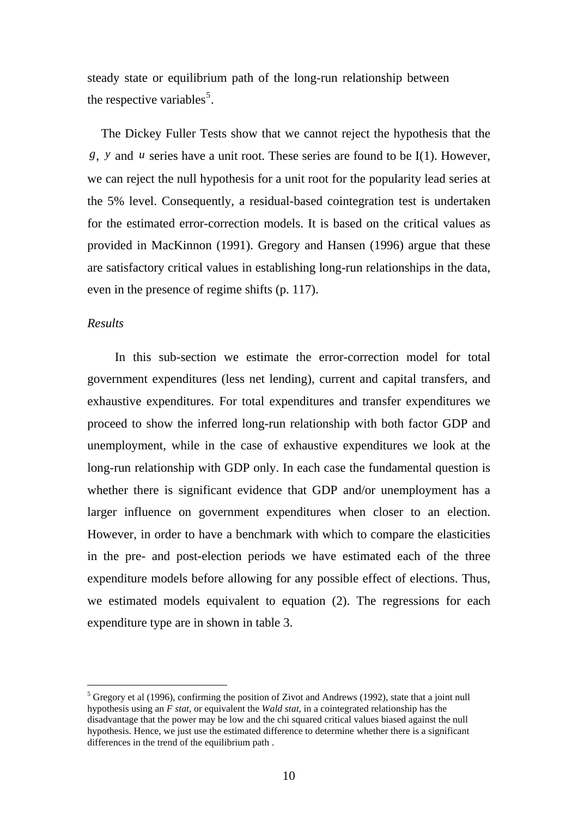steady state or equilibrium path of the long-run relationship between the respective variables<sup>[5](#page-9-0)</sup>.

The Dickey Fuller Tests show that we cannot reject the hypothesis that the *g*, *y* and *u* series have a unit root. These series are found to be I(1). However, we can reject the null hypothesis for a unit root for the popularity lead series at the 5% level. Consequently, a residual-based cointegration test is undertaken for the estimated error-correction models. It is based on the critical values as provided in MacKinnon (1991). Gregory and Hansen (1996) argue that these are satisfactory critical values in establishing long-run relationships in the data, even in the presence of regime shifts (p. 117).

### *Results*

 $\overline{a}$ 

In this sub-section we estimate the error-correction model for total government expenditures (less net lending), current and capital transfers, and exhaustive expenditures. For total expenditures and transfer expenditures we proceed to show the inferred long-run relationship with both factor GDP and unemployment, while in the case of exhaustive expenditures we look at the long-run relationship with GDP only. In each case the fundamental question is whether there is significant evidence that GDP and/or unemployment has a larger influence on government expenditures when closer to an election. However, in order to have a benchmark with which to compare the elasticities in the pre- and post-election periods we have estimated each of the three expenditure models before allowing for any possible effect of elections. Thus, we estimated models equivalent to equation (2). The regressions for each expenditure type are in shown in table 3.

<span id="page-9-0"></span> $<sup>5</sup>$  Gregory et al (1996), confirming the position of Zivot and Andrews (1992), state that a joint null</sup> hypothesis using an *F stat*, or equivalent the *Wald stat*, in a cointegrated relationship has the disadvantage that the power may be low and the chi squared critical values biased against the null hypothesis. Hence, we just use the estimated difference to determine whether there is a significant differences in the trend of the equilibrium path .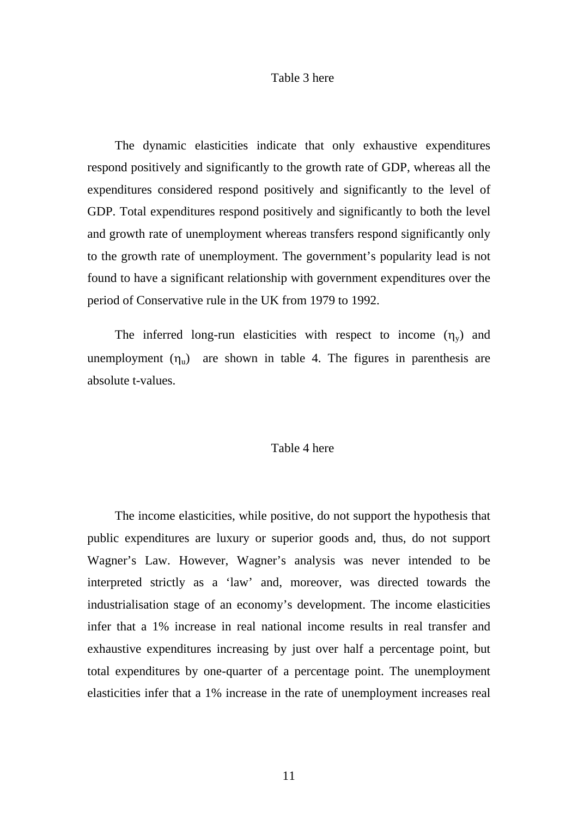#### Table 3 here

The dynamic elasticities indicate that only exhaustive expenditures respond positively and significantly to the growth rate of GDP, whereas all the expenditures considered respond positively and significantly to the level of GDP. Total expenditures respond positively and significantly to both the level and growth rate of unemployment whereas transfers respond significantly only to the growth rate of unemployment. The government's popularity lead is not found to have a significant relationship with government expenditures over the period of Conservative rule in the UK from 1979 to 1992.

The inferred long-run elasticities with respect to income  $(\eta_v)$  and unemployment  $(\eta_u)$  are shown in table 4. The figures in parenthesis are absolute t-values.

## Table 4 here

The income elasticities, while positive, do not support the hypothesis that public expenditures are luxury or superior goods and, thus, do not support Wagner's Law. However, Wagner's analysis was never intended to be interpreted strictly as a 'law' and, moreover, was directed towards the industrialisation stage of an economy's development. The income elasticities infer that a 1% increase in real national income results in real transfer and exhaustive expenditures increasing by just over half a percentage point, but total expenditures by one-quarter of a percentage point. The unemployment elasticities infer that a 1% increase in the rate of unemployment increases real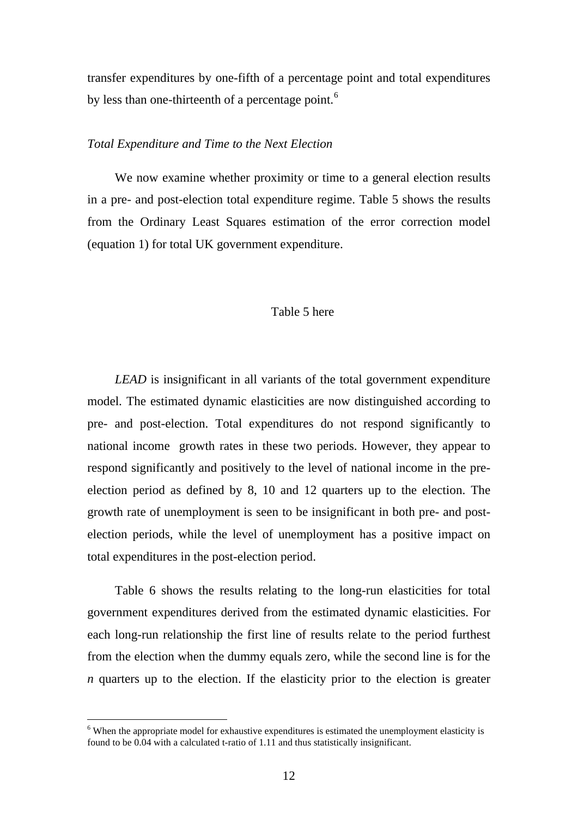transfer expenditures by one-fifth of a percentage point and total expenditures by less than one-thirteenth of a percentage point.<sup>[6](#page-11-0)</sup>

### *Total Expenditure and Time to the Next Election*

We now examine whether proximity or time to a general election results in a pre- and post-election total expenditure regime. Table 5 shows the results from the Ordinary Least Squares estimation of the error correction model (equation 1) for total UK government expenditure.

#### Table 5 here

*LEAD* is insignificant in all variants of the total government expenditure model. The estimated dynamic elasticities are now distinguished according to pre- and post-election. Total expenditures do not respond significantly to national income growth rates in these two periods. However, they appear to respond significantly and positively to the level of national income in the preelection period as defined by 8, 10 and 12 quarters up to the election. The growth rate of unemployment is seen to be insignificant in both pre- and postelection periods, while the level of unemployment has a positive impact on total expenditures in the post-election period.

Table 6 shows the results relating to the long-run elasticities for total government expenditures derived from the estimated dynamic elasticities. For each long-run relationship the first line of results relate to the period furthest from the election when the dummy equals zero, while the second line is for the *n* quarters up to the election. If the elasticity prior to the election is greater

 $\overline{a}$ 

<span id="page-11-0"></span> $6$  When the appropriate model for exhaustive expenditures is estimated the unemployment elasticity is found to be 0.04 with a calculated t-ratio of 1.11 and thus statistically insignificant.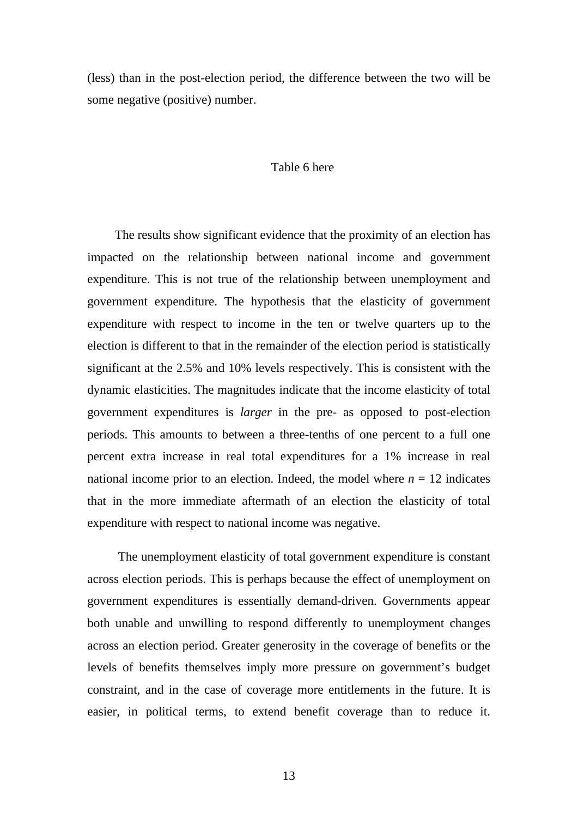(less) than in the post-election period, the difference between the two will be some negative (positive) number.

#### Table 6 here

The results show significant evidence that the proximity of an election has impacted on the relationship between national income and government expenditure. This is not true of the relationship between unemployment and government expenditure. The hypothesis that the elasticity of government expenditure with respect to income in the ten or twelve quarters up to the election is different to that in the remainder of the election period is statistically significant at the 2.5% and 10% levels respectively. This is consistent with the dynamic elasticities. The magnitudes indicate that the income elasticity of total government expenditures is *larger* in the pre- as opposed to post-election periods. This amounts to between a three-tenths of one percent to a full one percent extra increase in real total expenditures for a 1% increase in real national income prior to an election. Indeed, the model where  $n = 12$  indicates that in the more immediate aftermath of an election the elasticity of total expenditure with respect to national income was negative.

 The unemployment elasticity of total government expenditure is constant across election periods. This is perhaps because the effect of unemployment on government expenditures is essentially demand-driven. Governments appear both unable and unwilling to respond differently to unemployment changes across an election period. Greater generosity in the coverage of benefits or the levels of benefits themselves imply more pressure on government's budget constraint, and in the case of coverage more entitlements in the future. It is easier, in political terms, to extend benefit coverage than to reduce it.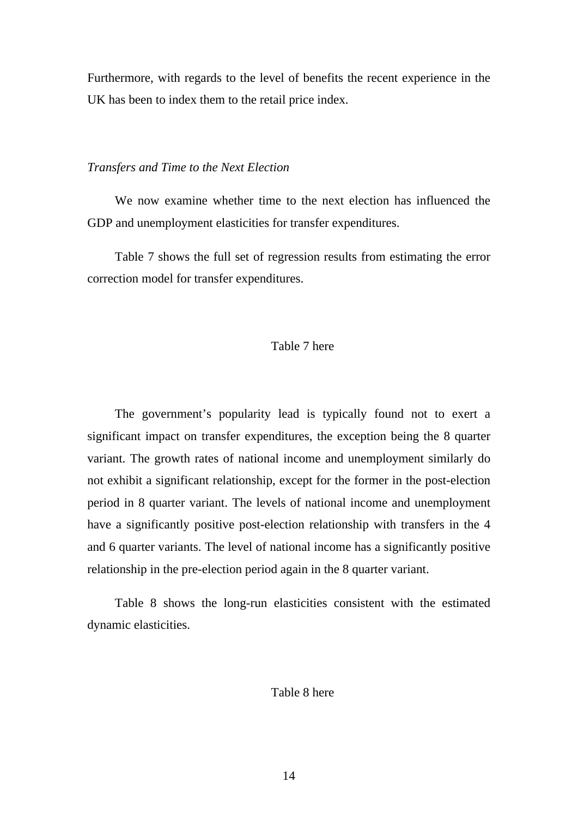Furthermore, with regards to the level of benefits the recent experience in the UK has been to index them to the retail price index.

## *Transfers and Time to the Next Election*

We now examine whether time to the next election has influenced the GDP and unemployment elasticities for transfer expenditures.

Table 7 shows the full set of regression results from estimating the error correction model for transfer expenditures.

# Table 7 here

The government's popularity lead is typically found not to exert a significant impact on transfer expenditures, the exception being the 8 quarter variant. The growth rates of national income and unemployment similarly do not exhibit a significant relationship, except for the former in the post-election period in 8 quarter variant. The levels of national income and unemployment have a significantly positive post-election relationship with transfers in the 4 and 6 quarter variants. The level of national income has a significantly positive relationship in the pre-election period again in the 8 quarter variant.

Table 8 shows the long-run elasticities consistent with the estimated dynamic elasticities.

# Table 8 here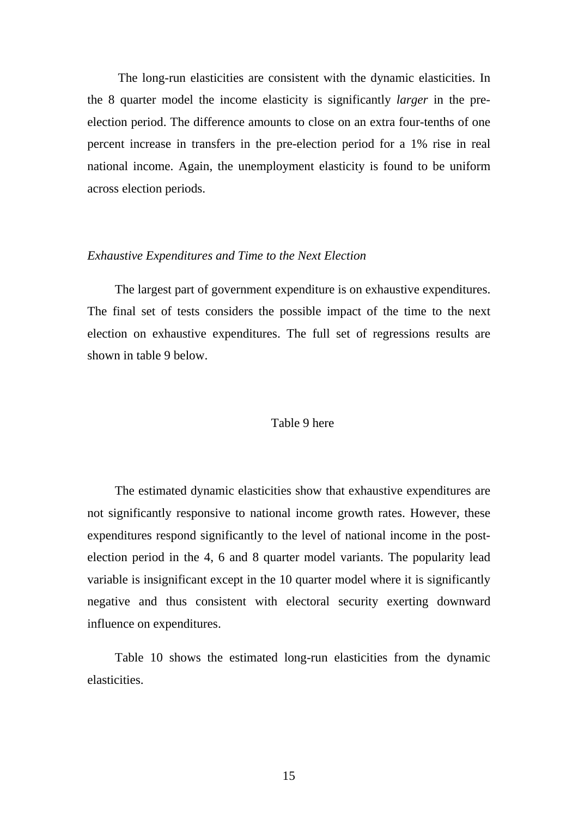The long-run elasticities are consistent with the dynamic elasticities. In the 8 quarter model the income elasticity is significantly *larger* in the preelection period. The difference amounts to close on an extra four-tenths of one percent increase in transfers in the pre-election period for a 1% rise in real national income. Again, the unemployment elasticity is found to be uniform across election periods.

#### *Exhaustive Expenditures and Time to the Next Election*

The largest part of government expenditure is on exhaustive expenditures. The final set of tests considers the possible impact of the time to the next election on exhaustive expenditures. The full set of regressions results are shown in table 9 below.

## Table 9 here

The estimated dynamic elasticities show that exhaustive expenditures are not significantly responsive to national income growth rates. However, these expenditures respond significantly to the level of national income in the postelection period in the 4, 6 and 8 quarter model variants. The popularity lead variable is insignificant except in the 10 quarter model where it is significantly negative and thus consistent with electoral security exerting downward influence on expenditures.

Table 10 shows the estimated long-run elasticities from the dynamic elasticities.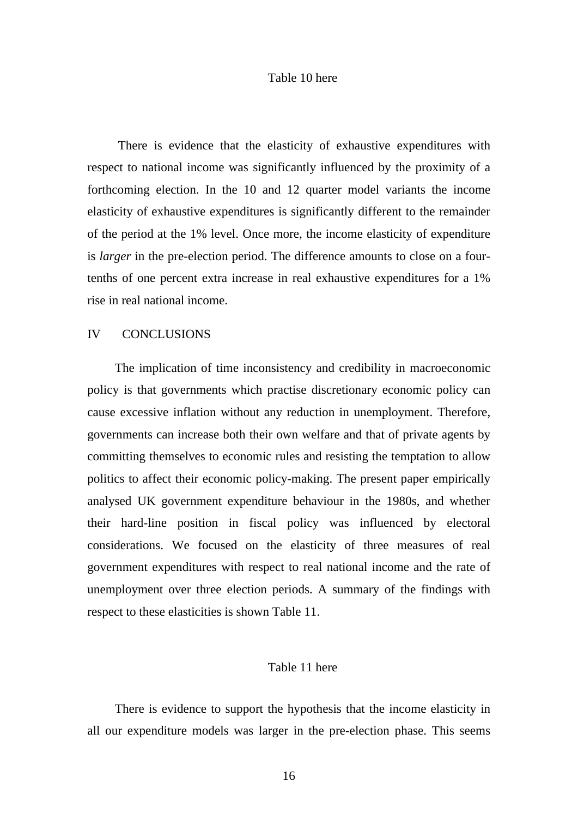#### Table 10 here

 There is evidence that the elasticity of exhaustive expenditures with respect to national income was significantly influenced by the proximity of a forthcoming election. In the 10 and 12 quarter model variants the income elasticity of exhaustive expenditures is significantly different to the remainder of the period at the 1% level. Once more, the income elasticity of expenditure is *larger* in the pre-election period. The difference amounts to close on a fourtenths of one percent extra increase in real exhaustive expenditures for a 1% rise in real national income.

#### IV CONCLUSIONS

The implication of time inconsistency and credibility in macroeconomic policy is that governments which practise discretionary economic policy can cause excessive inflation without any reduction in unemployment. Therefore, governments can increase both their own welfare and that of private agents by committing themselves to economic rules and resisting the temptation to allow politics to affect their economic policy-making. The present paper empirically analysed UK government expenditure behaviour in the 1980s, and whether their hard-line position in fiscal policy was influenced by electoral considerations. We focused on the elasticity of three measures of real government expenditures with respect to real national income and the rate of unemployment over three election periods. A summary of the findings with respect to these elasticities is shown Table 11.

# Table 11 here

There is evidence to support the hypothesis that the income elasticity in all our expenditure models was larger in the pre-election phase. This seems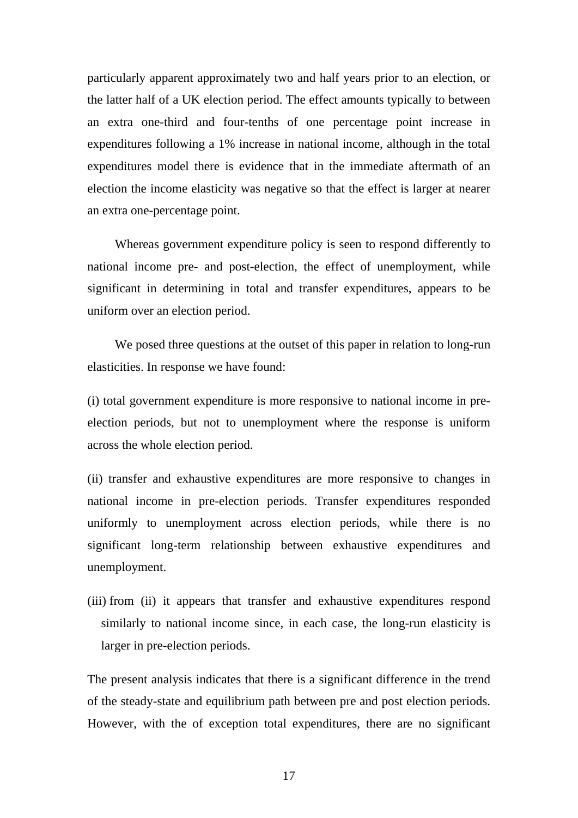particularly apparent approximately two and half years prior to an election, or the latter half of a UK election period. The effect amounts typically to between an extra one-third and four-tenths of one percentage point increase in expenditures following a 1% increase in national income, although in the total expenditures model there is evidence that in the immediate aftermath of an election the income elasticity was negative so that the effect is larger at nearer an extra one-percentage point.

Whereas government expenditure policy is seen to respond differently to national income pre- and post-election, the effect of unemployment, while significant in determining in total and transfer expenditures, appears to be uniform over an election period.

We posed three questions at the outset of this paper in relation to long-run elasticities. In response we have found:

(i) total government expenditure is more responsive to national income in preelection periods, but not to unemployment where the response is uniform across the whole election period.

(ii) transfer and exhaustive expenditures are more responsive to changes in national income in pre-election periods. Transfer expenditures responded uniformly to unemployment across election periods, while there is no significant long-term relationship between exhaustive expenditures and unemployment.

(iii) from (ii) it appears that transfer and exhaustive expenditures respond similarly to national income since, in each case, the long-run elasticity is larger in pre-election periods.

The present analysis indicates that there is a significant difference in the trend of the steady-state and equilibrium path between pre and post election periods. However, with the of exception total expenditures, there are no significant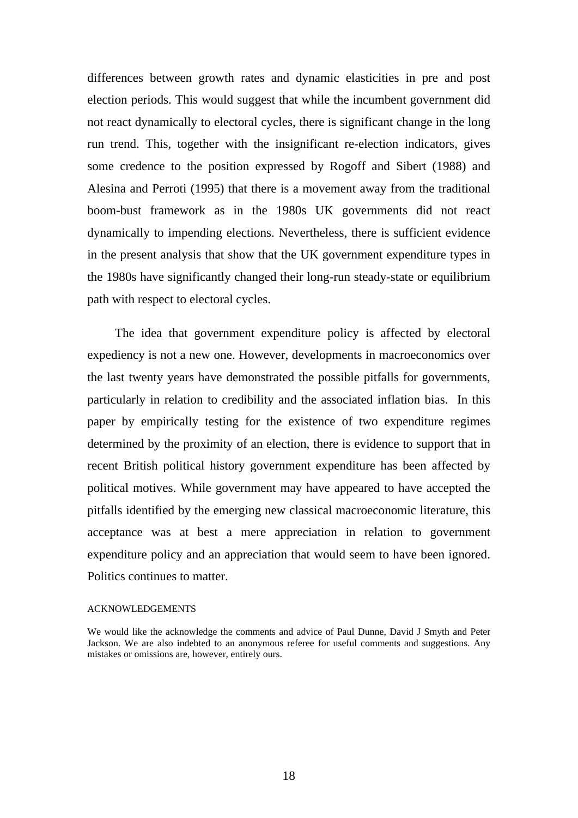differences between growth rates and dynamic elasticities in pre and post election periods. This would suggest that while the incumbent government did not react dynamically to electoral cycles, there is significant change in the long run trend. This, together with the insignificant re-election indicators, gives some credence to the position expressed by Rogoff and Sibert (1988) and Alesina and Perroti (1995) that there is a movement away from the traditional boom-bust framework as in the 1980s UK governments did not react dynamically to impending elections. Nevertheless, there is sufficient evidence in the present analysis that show that the UK government expenditure types in the 1980s have significantly changed their long-run steady-state or equilibrium path with respect to electoral cycles.

The idea that government expenditure policy is affected by electoral expediency is not a new one. However, developments in macroeconomics over the last twenty years have demonstrated the possible pitfalls for governments, particularly in relation to credibility and the associated inflation bias. In this paper by empirically testing for the existence of two expenditure regimes determined by the proximity of an election, there is evidence to support that in recent British political history government expenditure has been affected by political motives. While government may have appeared to have accepted the pitfalls identified by the emerging new classical macroeconomic literature, this acceptance was at best a mere appreciation in relation to government expenditure policy and an appreciation that would seem to have been ignored. Politics continues to matter.

#### ACKNOWLEDGEMENTS

We would like the acknowledge the comments and advice of Paul Dunne, David J Smyth and Peter Jackson. We are also indebted to an anonymous referee for useful comments and suggestions. Any mistakes or omissions are, however, entirely ours.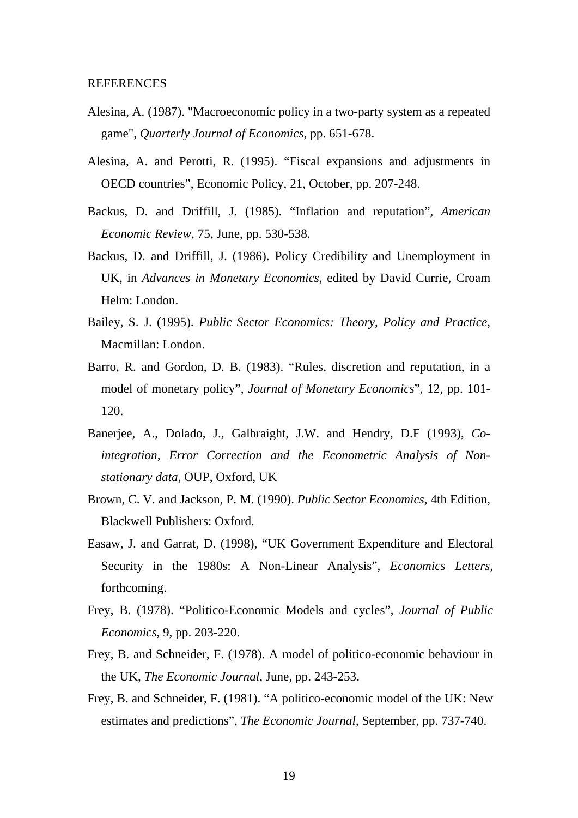#### **REFERENCES**

- Alesina, A. (1987). "Macroeconomic policy in a two-party system as a repeated game", *Quarterly Journal of Economics*, pp. 651-678.
- Alesina, A. and Perotti, R. (1995). "Fiscal expansions and adjustments in OECD countries", Economic Policy, 21, October, pp. 207-248.
- Backus, D. and Driffill, J. (1985). "Inflation and reputation", *American Economic Review*, 75, June, pp. 530-538.
- Backus, D. and Driffill, J. (1986). Policy Credibility and Unemployment in UK, in *Advances in Monetary Economics*, edited by David Currie, Croam Helm: London.
- Bailey, S. J. (1995). *Public Sector Economics: Theory, Policy and Practice*, Macmillan: London.
- Barro, R. and Gordon, D. B. (1983). "Rules, discretion and reputation, in a model of monetary policy", *Journal of Monetary Economics*", 12, pp. 101- 120.
- Banerjee, A., Dolado, J., Galbraight, J.W. and Hendry, D.F (1993), *Cointegration, Error Correction and the Econometric Analysis of Nonstationary data*, OUP, Oxford, UK
- Brown, C. V. and Jackson, P. M. (1990). *Public Sector Economics*, 4th Edition, Blackwell Publishers: Oxford.
- Easaw, J. and Garrat, D. (1998), "UK Government Expenditure and Electoral Security in the 1980s: A Non-Linear Analysis", *Economics Letters*, forthcoming.
- Frey, B. (1978). "Politico-Economic Models and cycles", *Journal of Public Economics*, 9, pp. 203-220.
- Frey, B. and Schneider, F. (1978). A model of politico-economic behaviour in the UK, *The Economic Journal*, June, pp. 243-253.
- Frey, B. and Schneider, F. (1981). "A politico-economic model of the UK: New estimates and predictions", *The Economic Journal*, September, pp. 737-740.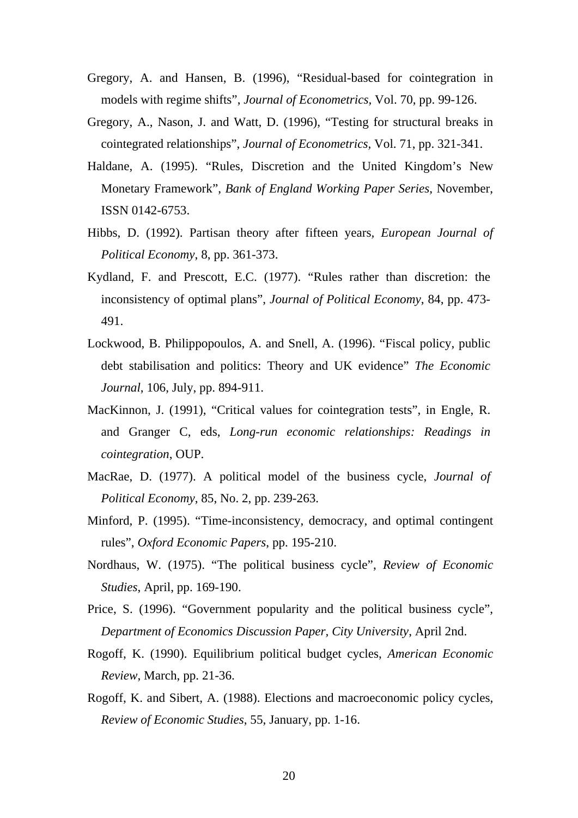- Gregory, A. and Hansen, B. (1996), "Residual-based for cointegration in models with regime shifts", *Journal of Econometrics,* Vol. 70, pp. 99-126.
- Gregory, A., Nason, J. and Watt, D. (1996), "Testing for structural breaks in cointegrated relationships", *Journal of Econometrics,* Vol. 71, pp. 321-341.
- Haldane, A. (1995). "Rules, Discretion and the United Kingdom's New Monetary Framework", *Bank of England Working Paper Series*, November, ISSN 0142-6753.
- Hibbs, D. (1992). Partisan theory after fifteen years*, European Journal of Political Economy*, 8, pp. 361-373.
- Kydland, F. and Prescott, E.C. (1977). "Rules rather than discretion: the inconsistency of optimal plans", *Journal of Political Economy*, 84, pp. 473- 491.
- Lockwood, B. Philippopoulos, A. and Snell, A. (1996). "Fiscal policy, public debt stabilisation and politics: Theory and UK evidence" *The Economic Journal*, 106, July, pp. 894-911.
- MacKinnon, J. (1991), "Critical values for cointegration tests", in Engle, R. and Granger C, eds, *Long-run economic relationships: Readings in cointegration*, OUP.
- MacRae, D. (1977). A political model of the business cycle, *Journal of Political Economy*, 85, No. 2, pp. 239-263.
- Minford, P. (1995). "Time-inconsistency, democracy, and optimal contingent rules", *Oxford Economic Papers*, pp. 195-210.
- Nordhaus, W. (1975). "The political business cycle", *Review of Economic Studies*, April, pp. 169-190.
- Price, S. (1996). "Government popularity and the political business cycle", *Department of Economics Discussion Paper, City University*, April 2nd.
- Rogoff, K. (1990). Equilibrium political budget cycles, *American Economic Review*, March, pp. 21-36.
- Rogoff, K. and Sibert, A. (1988). Elections and macroeconomic policy cycles, *Review of Economic Studies*, 55, January, pp. 1-16.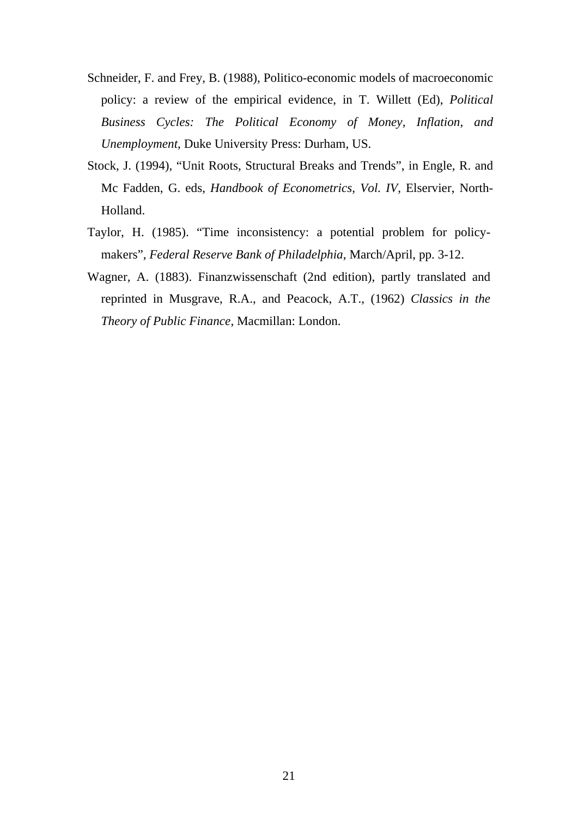- Schneider, F. and Frey, B. (1988), Politico-economic models of macroeconomic policy: a review of the empirical evidence, in T. Willett (Ed), *Political Business Cycles: The Political Economy of Money, Inflation, and Unemployment*, Duke University Press: Durham, US.
- Stock, J. (1994), "Unit Roots, Structural Breaks and Trends", in Engle, R. and Mc Fadden, G. eds, *Handbook of Econometrics, Vol. IV*, Elservier, North-Holland.
- Taylor, H. (1985). "Time inconsistency: a potential problem for policymakers", *Federal Reserve Bank of Philadelphia*, March/April, pp. 3-12.
- Wagner, A. (1883). Finanzwissenschaft (2nd edition), partly translated and reprinted in Musgrave, R.A., and Peacock, A.T., (1962) *Classics in the Theory of Public Finance*, Macmillan: London.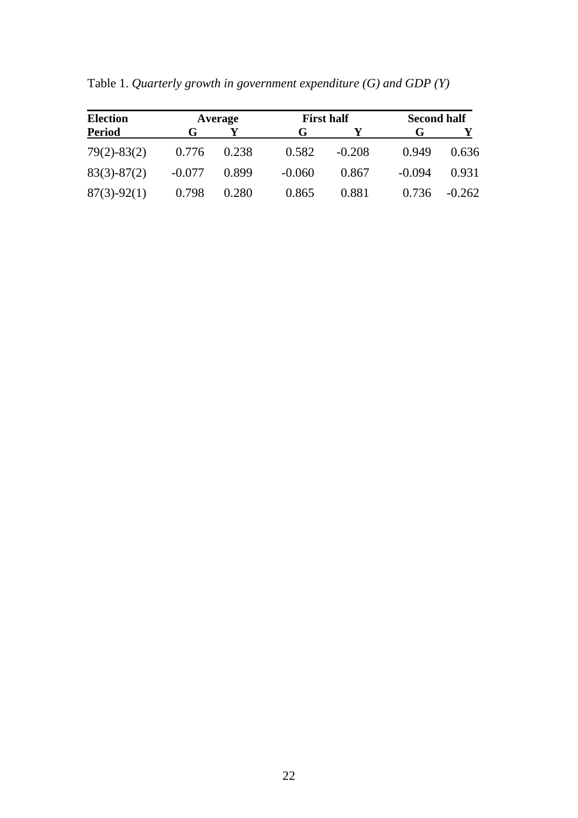| <b>Election</b> |          | Average |          | <b>First half</b> | <b>Second half</b> |          |
|-----------------|----------|---------|----------|-------------------|--------------------|----------|
| <b>Period</b>   | G        |         | G        |                   | G                  |          |
| $79(2) - 83(2)$ | 0.776    | 0.238   | 0.582    | $-0.208$          | 0.949              | 0.636    |
| $83(3)-87(2)$   | $-0.077$ | 0.899   | $-0.060$ | 0.867             | $-0.094$           | 0.931    |
| $87(3)-92(1)$   | 0.798    | 0.280   | 0.865    | 0.881             | 0.736              | $-0.262$ |

Table 1. *Quarterly growth in government expenditure (G) and GDP (Y)*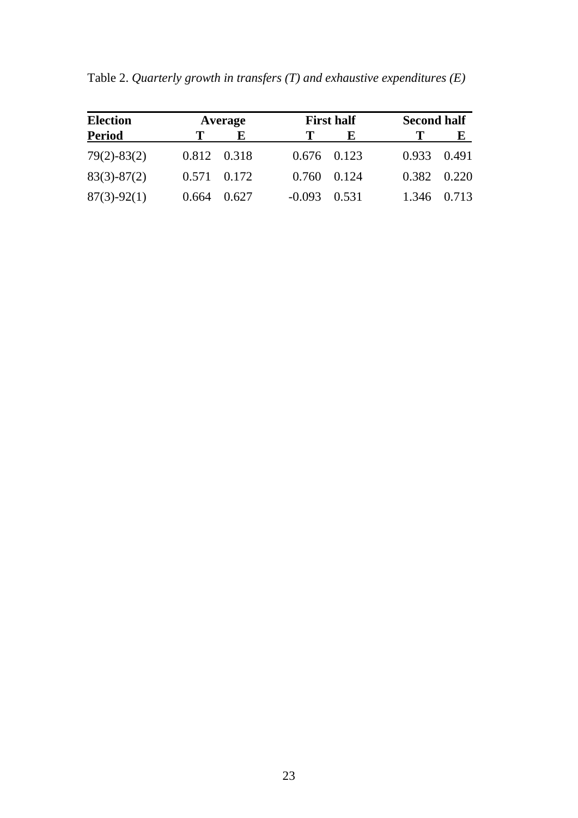| <b>Election</b> |       | Average         |                  | <b>First half</b> | <b>Second half</b> |       |
|-----------------|-------|-----------------|------------------|-------------------|--------------------|-------|
| <b>Period</b>   |       | Е               |                  | Е                 |                    | E     |
| $79(2) - 83(2)$ |       | 0.812 0.318     |                  | $0.676$ 0.123     | 0.933              | 0.491 |
| $83(3)-87(2)$   |       | $0.571$ $0.172$ |                  | $0.760$ $0.124$   | 0.382              | 0.220 |
| $87(3)-92(1)$   | 0.664 | 0.627           | $-0.093$ $0.531$ |                   | 1.346              | 0.713 |

Table 2. *Quarterly growth in transfers (T) and exhaustive expenditures (E)*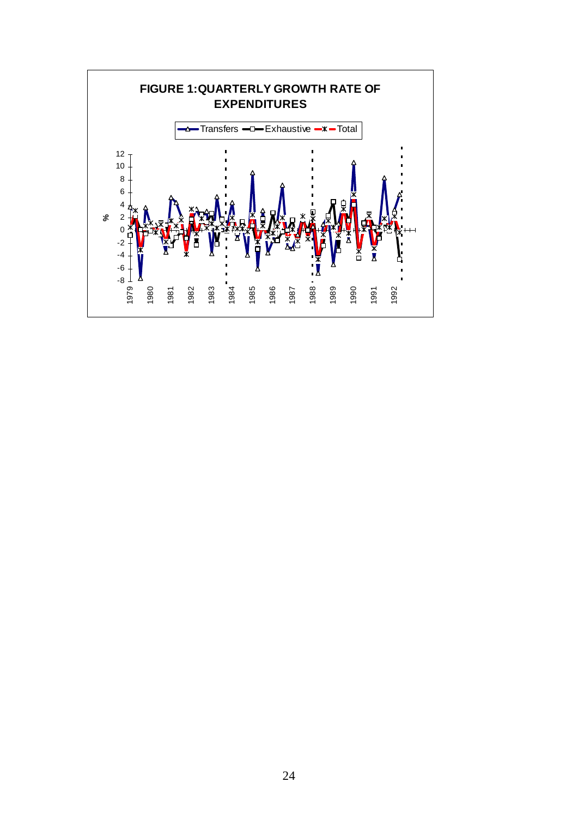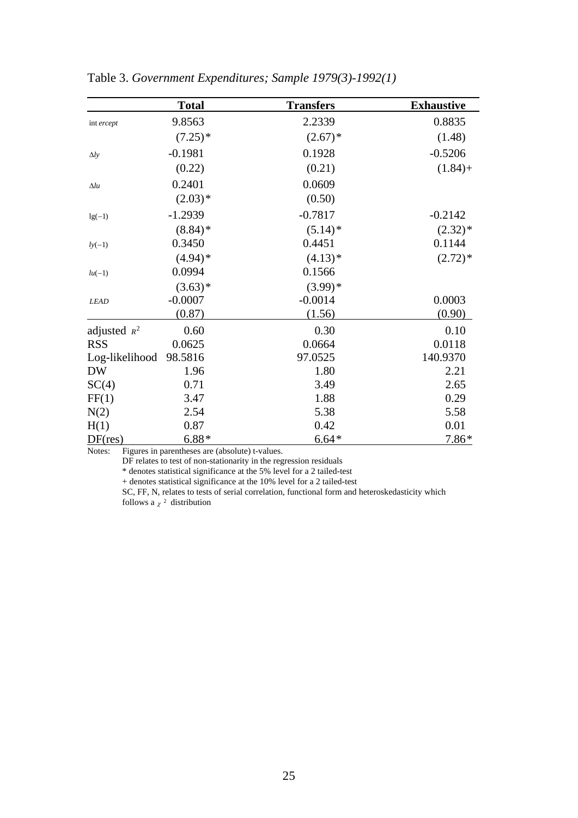|                | <b>Total</b> | <b>Transfers</b> | <b>Exhaustive</b> |
|----------------|--------------|------------------|-------------------|
| int ercept     | 9.8563       | 2.2339           | 0.8835            |
|                | $(7.25)^*$   | $(2.67)^*$       | (1.48)            |
| $\Delta l$ y   | $-0.1981$    | 0.1928           | $-0.5206$         |
|                | (0.22)       | (0.21)           | $(1.84) +$        |
| $\Delta l u$   | 0.2401       | 0.0609           |                   |
|                | $(2.03)*$    | (0.50)           |                   |
| $lg(-1)$       | $-1.2939$    | $-0.7817$        | $-0.2142$         |
|                | $(8.84)$ *   | $(5.14)^*$       | $(2.32)*$         |
| $ly(-1)$       | 0.3450       | 0.4451           | 0.1144            |
|                | $(4.94)$ *   | $(4.13)*$        | $(2.72)*$         |
| $lu(-1)$       | 0.0994       | 0.1566           |                   |
|                | $(3.63)*$    | $(3.99)*$        |                   |
| <b>LEAD</b>    | $-0.0007$    | $-0.0014$        | 0.0003            |
|                | (0.87)       | (1.56)           | (0.90)            |
| adjusted $R^2$ | 0.60         | 0.30             | 0.10              |
| <b>RSS</b>     | 0.0625       | 0.0664           | 0.0118            |
| Log-likelihood | 98.5816      | 97.0525          | 140.9370          |
| <b>DW</b>      | 1.96         | 1.80             | 2.21              |
| SC(4)          | 0.71         | 3.49             | 2.65              |
| FF(1)          | 3.47         | 1.88             | 0.29              |
| N(2)           | 2.54         | 5.38             | 5.58              |
| H(1)           | 0.87         | 0.42             | 0.01              |
| DF(res)        | $6.88*$      | $6.64*$          | $7.86*$           |

Table 3. *Government Expenditures; Sample 1979(3)-1992(1)* 

Notes: Figures in parentheses are (absolute) t-values.

DF relates to test of non-stationarity in the regression residuals

\* denotes statistical significance at the 5% level for a 2 tailed-test

+ denotes statistical significance at the 10% level for a 2 tailed-test

SC, FF, N, relates to tests of serial correlation, functional form and heteroskedasticity which

follows a  $\chi^2$  distribution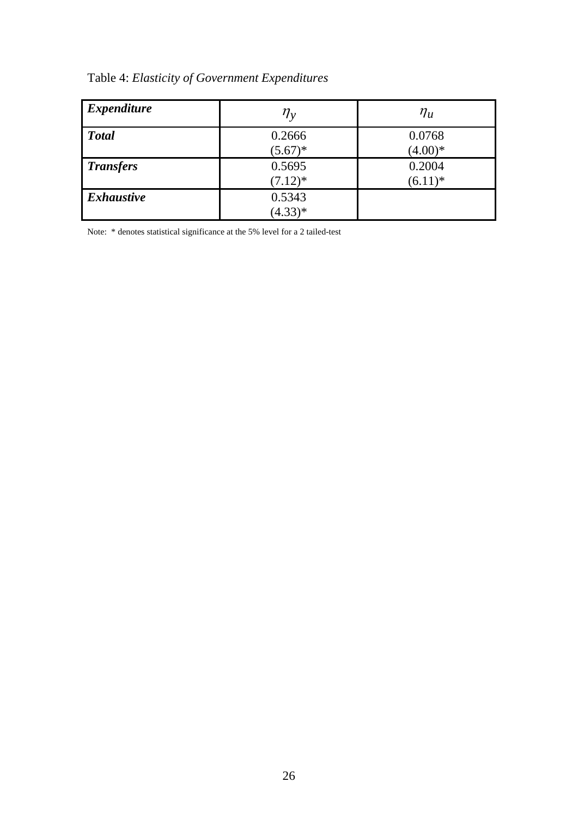|  |  | Table 4: Elasticity of Government Expenditures |  |
|--|--|------------------------------------------------|--|
|--|--|------------------------------------------------|--|

| <i>Expenditure</i> | $\eta_{\rm v}$ | $\eta_u$   |
|--------------------|----------------|------------|
| <b>Total</b>       | 0.2666         | 0.0768     |
|                    | $(5.67)^*$     | $(4.00)*$  |
| <b>Transfers</b>   | 0.5695         | 0.2004     |
|                    | $(7.12)^*$     | $(6.11)^*$ |
| <b>Exhaustive</b>  | 0.5343         |            |
|                    | $(4.33)*$      |            |

Note: \* denotes statistical significance at the 5% level for a 2 tailed-test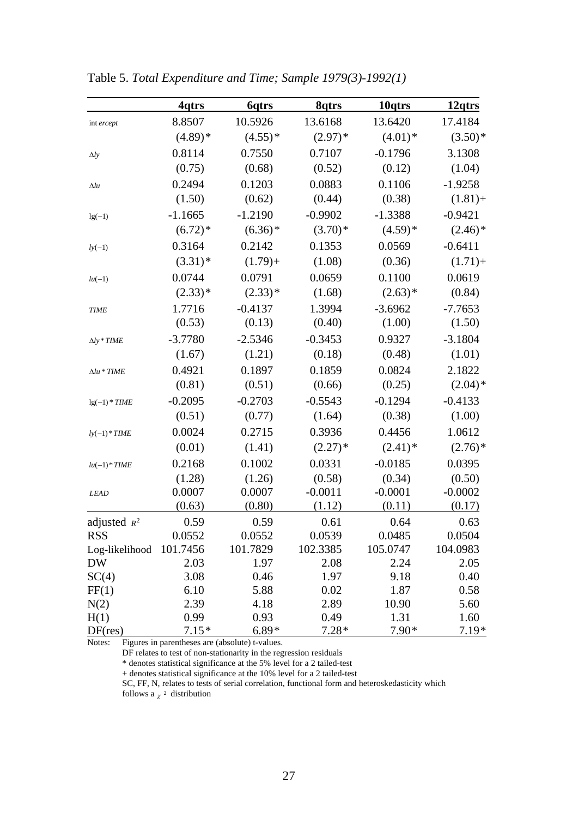|                    | <u>4qtrs</u>    | <u>6qtrs</u>    | <u>Sqtrs</u>    | <u>10qtrs</u>   | <u>12qtrs</u>         |
|--------------------|-----------------|-----------------|-----------------|-----------------|-----------------------|
| int ercept         | 8.8507          | 10.5926         | 13.6168         | 13.6420         | 17.4184               |
|                    | $(4.89)*$       | $(4.55)*$       | $(2.97)*$       | $(4.01)*$       | $(3.50)*$             |
| $\Delta ly$        | 0.8114          | 0.7550          | 0.7107          | $-0.1796$       | 3.1308                |
|                    | (0.75)          | (0.68)          | (0.52)          | (0.12)          | (1.04)                |
| $\Delta l u$       | 0.2494          | 0.1203          | 0.0883          | 0.1106          | $-1.9258$             |
|                    | (1.50)          | (0.62)          | (0.44)          | (0.38)          | $(1.81) +$            |
| $lg(-1)$           | $-1.1665$       | $-1.2190$       | $-0.9902$       | $-1.3388$       | $-0.9421$             |
|                    | $(6.72)*$       | $(6.36)$ *      | $(3.70)*$       | $(4.59)*$       | $(2.46)$ <sup>*</sup> |
| $ly(-1)$           | 0.3164          | 0.2142          | 0.1353          | 0.0569          | $-0.6411$             |
|                    | $(3.31)$ *      | $(1.79) +$      | (1.08)          | (0.36)          | $(1.71) +$            |
| $lu(-1)$           | 0.0744          | 0.0791          | 0.0659          | 0.1100          | 0.0619                |
|                    | $(2.33)*$       | $(2.33)*$       | (1.68)          | $(2.63)*$       | (0.84)                |
| <b>TIME</b>        | 1.7716          | $-0.4137$       | 1.3994          | $-3.6962$       | $-7.7653$             |
|                    | (0.53)          | (0.13)          | (0.40)          | (1.00)          | (1.50)                |
| $\Delta ly * TIME$ | $-3.7780$       | $-2.5346$       | $-0.3453$       | 0.9327          | $-3.1804$             |
|                    | (1.67)          | (1.21)          | (0.18)          | (0.48)          | (1.01)                |
| $\Delta lu * TIME$ | 0.4921          | 0.1897          | 0.1859          | 0.0824          | 2.1822                |
|                    | (0.81)          | (0.51)          | (0.66)          | (0.25)          | $(2.04)$ *            |
| $lg(-1) * TIME$    | $-0.2095$       | $-0.2703$       | $-0.5543$       | $-0.1294$       | $-0.4133$             |
|                    | (0.51)          | (0.77)          | (1.64)          | (0.38)          | (1.00)                |
| $ly(-1)*TIME$      | 0.0024          | 0.2715          | 0.3936          | 0.4456          | 1.0612                |
|                    | (0.01)          | (1.41)          | $(2.27)$ *      | $(2.41)$ *      | $(2.76)$ <sup>*</sup> |
| $lu(-1) * TIME$    | 0.2168          | 0.1002          | 0.0331          | $-0.0185$       | 0.0395                |
|                    | (1.28)          | (1.26)          | (0.58)          | (0.34)          | (0.50)                |
| <b>LEAD</b>        | 0.0007          | 0.0007          | $-0.0011$       | $-0.0001$       | $-0.0002$             |
|                    | (0.63)          | (0.80)          | (1.12)          | (0.11)          | (0.17)                |
| adjusted $R^2$     | 0.59            | 0.59            | 0.61            | 0.64            | 0.63                  |
| <b>RSS</b>         | 0.0552          | 0.0552          | 0.0539          | 0.0485          | 0.0504                |
| Log-likelihood     | 101.7456        | 101.7829        | 102.3385        | 105.0747        | 104.0983              |
| <b>DW</b>          | 2.03            | 1.97            | 2.08            | 2.24            | 2.05                  |
| SC(4)              | 3.08            | 0.46            | 1.97            | 9.18            | 0.40                  |
| FF(1)              | 6.10            | 5.88            | 0.02            | 1.87            | 0.58                  |
| N(2)               | 2.39            | 4.18            | 2.89            | 10.90           | 5.60                  |
| H(1)<br>DF(res)    | 0.99<br>$7.15*$ | 0.93<br>$6.89*$ | 0.49<br>$7.28*$ | 1.31<br>$7.90*$ | 1.60<br>$7.19*$       |

Table 5. *Total Expenditure and Time; Sample 1979(3)-1992(1)* 

Notes: Figures in parentheses are (absolute) t-values.

DF relates to test of non-stationarity in the regression residuals

\* denotes statistical significance at the 5% level for a 2 tailed-test

+ denotes statistical significance at the 10% level for a 2 tailed-test

SC, FF, N, relates to tests of serial correlation, functional form and heteroskedasticity which

follows a  $\chi^2$  distribution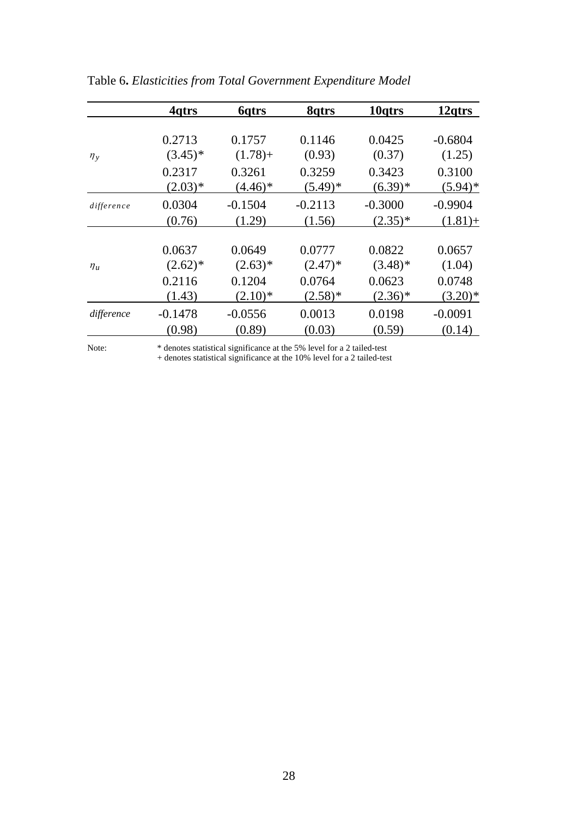|            | 4qtrs                | <b>6</b> qtrs       | 8qtrs                | 10 <sub>qtrs</sub>      | 12 <sub>gtrs</sub>      |
|------------|----------------------|---------------------|----------------------|-------------------------|-------------------------|
|            | 0.2713               | 0.1757              | 0.1146               | 0.0425                  | $-0.6804$               |
| $\eta_{v}$ | $(3.45)^*$           | $(1.78) +$          | (0.93)               | (0.37)                  | (1.25)                  |
|            | 0.2317<br>$(2.03)*$  | 0.3261<br>$(4.46)*$ | 0.3259<br>$(5.49)^*$ | 0.3423<br>$(6.39)*$     | 0.3100<br>$(5.94)^*$    |
| difference | 0.0304<br>(0.76)     | $-0.1504$<br>(1.29) | $-0.2113$<br>(1.56)  | $-0.3000$<br>$(2.35)^*$ | $-0.9904$<br>$(1.81) +$ |
| $\eta_u$   | 0.0637<br>$(2.62)^*$ | 0.0649<br>$(2.63)*$ | 0.0777<br>$(2.47)^*$ | 0.0822<br>$(3.48)$ *    | 0.0657<br>(1.04)        |
|            | 0.2116<br>(1.43)     | 0.1204<br>$(2.10)*$ | 0.0764<br>$(2.58)*$  | 0.0623<br>$(2.36)*$     | 0.0748<br>$(3.20)*$     |
| difference | $-0.1478$            | $-0.0556$           | 0.0013               | 0.0198                  | $-0.0091$               |
|            | (0.98)               | (0.89)              | (0.03)               | (0.59)                  | (0.14)                  |

Table 6**.** *Elasticities from Total Government Expenditure Model* 

Note: \* denotes statistical significance at the 5% level for a 2 tailed-test

+ denotes statistical significance at the 10% level for a 2 tailed-test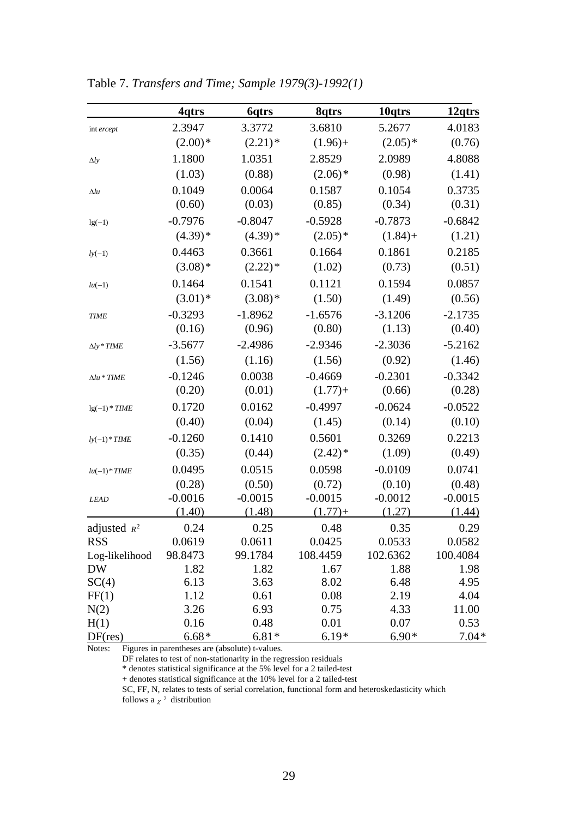|                    | 4qtrs     | 6qtrs                 | <u>Sqtrs</u> | 10qtrs     | <u>12qtrs</u> |
|--------------------|-----------|-----------------------|--------------|------------|---------------|
| int ercept         | 2.3947    | 3.3772                | 3.6810       | 5.2677     | 4.0183        |
|                    | $(2.00)*$ | $(2.21)$ <sup>*</sup> | $(1.96) +$   | $(2.05)*$  | (0.76)        |
| $\Delta ly$        | 1.1800    | 1.0351                | 2.8529       | 2.0989     | 4.8088        |
|                    | (1.03)    | (0.88)                | $(2.06)*$    | (0.98)     | (1.41)        |
| $\Delta l u$       | 0.1049    | 0.0064                | 0.1587       | 0.1054     | 0.3735        |
|                    | (0.60)    | (0.03)                | (0.85)       | (0.34)     | (0.31)        |
| $lg(-1)$           | $-0.7976$ | $-0.8047$             | $-0.5928$    | $-0.7873$  | $-0.6842$     |
|                    | $(4.39)*$ | $(4.39)*$             | $(2.05)*$    | $(1.84) +$ | (1.21)        |
| $ly(-1)$           | 0.4463    | 0.3661                | 0.1664       | 0.1861     | 0.2185        |
|                    | $(3.08)*$ | $(2.22)*$             | (1.02)       | (0.73)     | (0.51)        |
| $lu(-1)$           | 0.1464    | 0.1541                | 0.1121       | 0.1594     | 0.0857        |
|                    | $(3.01)*$ | $(3.08)*$             | (1.50)       | (1.49)     | (0.56)        |
| <b>TIME</b>        | $-0.3293$ | $-1.8962$             | $-1.6576$    | $-3.1206$  | $-2.1735$     |
|                    | (0.16)    | (0.96)                | (0.80)       | (1.13)     | (0.40)        |
| $\Delta ly * TIME$ | $-3.5677$ | $-2.4986$             | $-2.9346$    | $-2.3036$  | $-5.2162$     |
|                    | (1.56)    | (1.16)                | (1.56)       | (0.92)     | (1.46)        |
| $\Delta lu * TIME$ | $-0.1246$ | 0.0038                | $-0.4669$    | $-0.2301$  | $-0.3342$     |
|                    | (0.20)    | (0.01)                | $(1.77) +$   | (0.66)     | (0.28)        |
| $lg(-1) * TIME$    | 0.1720    | 0.0162                | $-0.4997$    | $-0.0624$  | $-0.0522$     |
|                    | (0.40)    | (0.04)                | (1.45)       | (0.14)     | (0.10)        |
| $ly(-1)*TIME$      | $-0.1260$ | 0.1410                | 0.5601       | 0.3269     | 0.2213        |
|                    | (0.35)    | (0.44)                | $(2.42)^*$   | (1.09)     | (0.49)        |
| $lu(-1) * TIME$    | 0.0495    | 0.0515                | 0.0598       | $-0.0109$  | 0.0741        |
|                    | (0.28)    | (0.50)                | (0.72)       | (0.10)     | (0.48)        |
| <b>LEAD</b>        | $-0.0016$ | $-0.0015$             | $-0.0015$    | $-0.0012$  | $-0.0015$     |
|                    | (1.40)    | (1.48)                | $(1.77) +$   | (1.27)     | (1.44)        |
| adjusted $R^2$     | 0.24      | 0.25                  | 0.48         | 0.35       | 0.29          |
| <b>RSS</b>         | 0.0619    | 0.0611                | 0.0425       | 0.0533     | 0.0582        |
| Log-likelihood     | 98.8473   | 99.1784               | 108.4459     | 102.6362   | 100.4084      |
| <b>DW</b>          | 1.82      | 1.82                  | 1.67         | 1.88       | 1.98          |
| SC(4)              | 6.13      | 3.63                  | 8.02         | 6.48       | 4.95          |
| FF(1)              | 1.12      | 0.61                  | 0.08         | 2.19       | 4.04          |
| N(2)               | 3.26      | 6.93                  | 0.75         | 4.33       | 11.00         |
| H(1)               | 0.16      | 0.48                  | 0.01         | 0.07       | 0.53          |
| DF(res)            | $6.68*$   | $6.81*$               | $6.19*$      | $6.90*$    | $7.04*$       |

Table 7. *Transfers and Time; Sample 1979(3)-1992(1)* 

Notes: Figures in parentheses are (absolute) t-values.

DF relates to test of non-stationarity in the regression residuals

\* denotes statistical significance at the 5% level for a 2 tailed-test

+ denotes statistical significance at the 10% level for a 2 tailed-test

SC, FF, N, relates to tests of serial correlation, functional form and heteroskedasticity which

follows a  $\chi^2$  distribution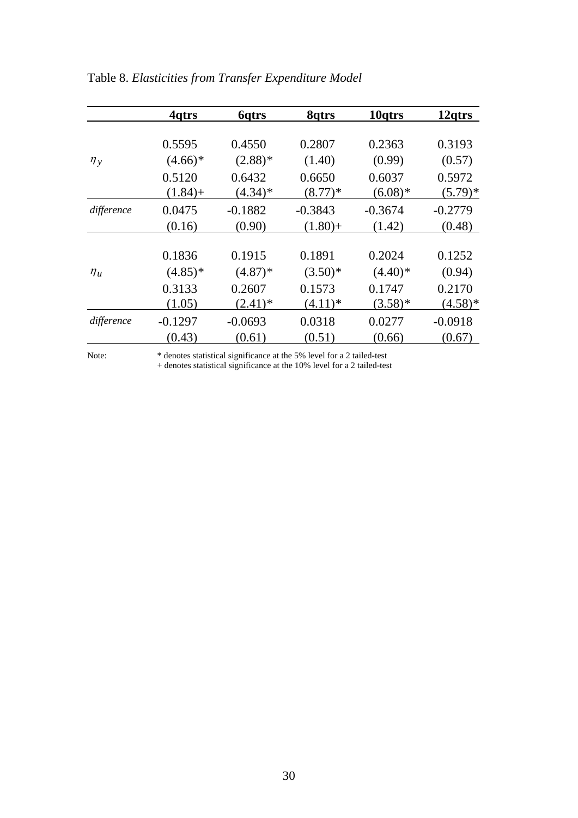|            | 4qtrs      | <b>6</b> qtrs | 8qtrs      | 10 <sub>qtrs</sub> | 12 <sub>gtrs</sub> |
|------------|------------|---------------|------------|--------------------|--------------------|
|            | 0.5595     | 0.4550        | 0.2807     | 0.2363             | 0.3193             |
| $\eta_y$   | $(4.66)*$  | $(2.88)$ *    | (1.40)     | (0.99)             | (0.57)             |
|            | 0.5120     | 0.6432        | 0.6650     | 0.6037             | 0.5972             |
|            | $(1.84) +$ | $(4.34)*$     | $(8.77)*$  | $(6.08)*$          | $(5.79)^*$         |
| difference | 0.0475     | $-0.1882$     | $-0.3843$  | $-0.3674$          | $-0.2779$          |
|            | (0.16)     | (0.90)        | $(1.80) +$ | (1.42)             | (0.48)             |
|            | 0.1836     | 0.1915        | 0.1891     | 0.2024             | 0.1252             |
| $\eta_u$   | $(4.85)*$  | $(4.87)$ *    | $(3.50)*$  | $(4.40)$ *         | (0.94)             |
|            | 0.3133     | 0.2607        | 0.1573     | 0.1747             | 0.2170             |
|            | (1.05)     | $(2.41)^*$    | $(4.11)*$  | $(3.58)*$          | $(4.58)*$          |
| difference | $-0.1297$  | $-0.0693$     | 0.0318     | 0.0277             | $-0.0918$          |
|            | (0.43)     | (0.61)        | (0.51)     | (0.66)             | (0.67)             |

Table 8. *Elasticities from Transfer Expenditure Model* 

Note: \* denotes statistical significance at the 5% level for a 2 tailed-test

+ denotes statistical significance at the 10% level for a 2 tailed-test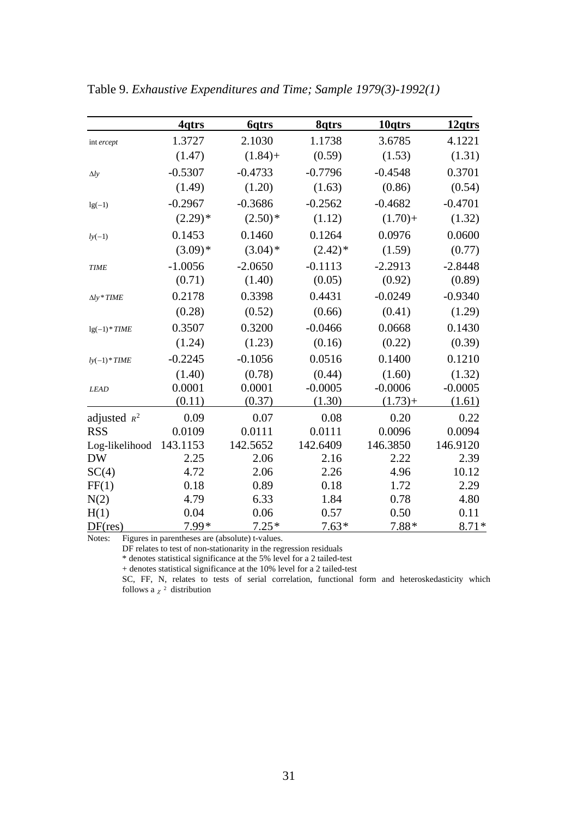|                    | <u>4qtrs</u> | 6qtrs      | <u>Sqtrs</u> | <u>10qtrs</u> | <u>12qtrs</u> |
|--------------------|--------------|------------|--------------|---------------|---------------|
| int ercept         | 1.3727       | 2.1030     | 1.1738       | 3.6785        | 4.1221        |
|                    | (1.47)       | $(1.84) +$ | (0.59)       | (1.53)        | (1.31)        |
| $\Delta l$ y       | $-0.5307$    | $-0.4733$  | $-0.7796$    | $-0.4548$     | 0.3701        |
|                    | (1.49)       | (1.20)     | (1.63)       | (0.86)        | (0.54)        |
| $lg(-1)$           | $-0.2967$    | $-0.3686$  | $-0.2562$    | $-0.4682$     | $-0.4701$     |
|                    | $(2.29)*$    | $(2.50)*$  | (1.12)       | $(1.70) +$    | (1.32)        |
| $l y(-1)$          | 0.1453       | 0.1460     | 0.1264       | 0.0976        | 0.0600        |
|                    | $(3.09)*$    | $(3.04)$ * | $(2.42)^*$   | (1.59)        | (0.77)        |
| <b>TIME</b>        | $-1.0056$    | $-2.0650$  | $-0.1113$    | $-2.2913$     | $-2.8448$     |
|                    | (0.71)       | (1.40)     | (0.05)       | (0.92)        | (0.89)        |
| $\Delta ly * TIME$ | 0.2178       | 0.3398     | 0.4431       | $-0.0249$     | $-0.9340$     |
|                    | (0.28)       | (0.52)     | (0.66)       | (0.41)        | (1.29)        |
| $lg(-1)$ * TIME    | 0.3507       | 0.3200     | $-0.0466$    | 0.0668        | 0.1430        |
|                    | (1.24)       | (1.23)     | (0.16)       | (0.22)        | (0.39)        |
| $ly(-1)*TIME$      | $-0.2245$    | $-0.1056$  | 0.0516       | 0.1400        | 0.1210        |
|                    | (1.40)       | (0.78)     | (0.44)       | (1.60)        | (1.32)        |
| <b>LEAD</b>        | 0.0001       | 0.0001     | $-0.0005$    | $-0.0006$     | $-0.0005$     |
|                    | (0.11)       | (0.37)     | (1.30)       | $(1.73) +$    | (1.61)        |
| adjusted $R^2$     | 0.09         | 0.07       | 0.08         | 0.20          | 0.22          |
| <b>RSS</b>         | 0.0109       | 0.0111     | 0.0111       | 0.0096        | 0.0094        |
| Log-likelihood     | 143.1153     | 142.5652   | 142.6409     | 146.3850      | 146.9120      |
| <b>DW</b>          | 2.25         | 2.06       | 2.16         | 2.22          | 2.39          |
| SC(4)              | 4.72         | 2.06       | 2.26         | 4.96          | 10.12         |
| FF(1)              | 0.18         | 0.89       | 0.18         | 1.72          | 2.29          |
| N(2)               | 4.79         | 6.33       | 1.84         | 0.78          | 4.80          |
| H(1)               | 0.04         | 0.06       | 0.57         | 0.50          | 0.11          |
| DF(res)            | 7.99*        | $7.25*$    | $7.63*$      | $7.88*$       | $8.71*$       |

Table 9. *Exhaustive Expenditures and Time; Sample 1979(3)-1992(1)* 

Notes: Figures in parentheses are (absolute) t-values.

DF relates to test of non-stationarity in the regression residuals

\* denotes statistical significance at the 5% level for a 2 tailed-test

+ denotes statistical significance at the 10% level for a 2 tailed-test

SC, FF, N, relates to tests of serial correlation, functional form and heteroskedasticity which follows a  $\chi^2$  distribution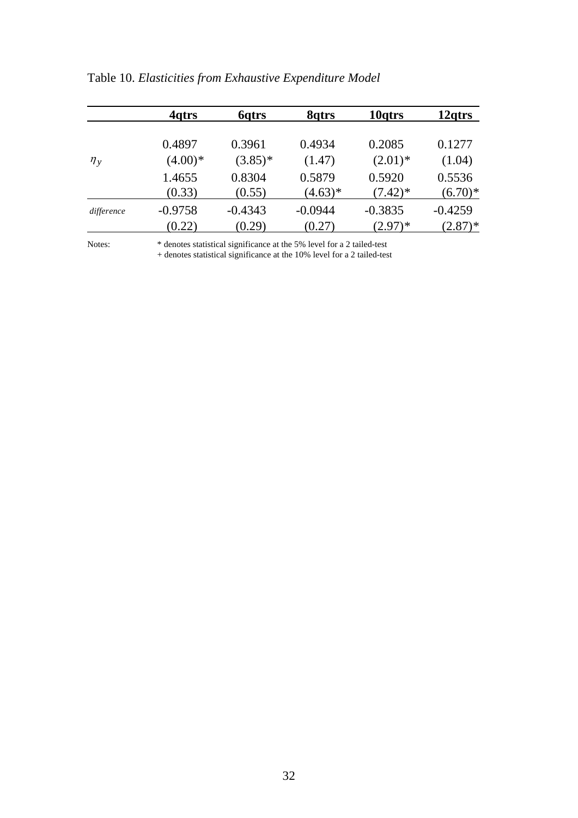|            | 4 <sub>atrs</sub> | <b>6</b> qtrs | 8qtrs     | 10 <sub>qtrs</sub> | 12 <sub>qtrs</sub> |
|------------|-------------------|---------------|-----------|--------------------|--------------------|
|            |                   |               |           |                    |                    |
|            | 0.4897            | 0.3961        | 0.4934    | 0.2085             | 0.1277             |
| $\eta_y$   | $(4.00)*$         | $(3.85)^*$    | (1.47)    | $(2.01)^*$         | (1.04)             |
|            | 1.4655            | 0.8304        | 0.5879    | 0.5920             | 0.5536             |
|            | (0.33)            | (0.55)        | $(4.63)*$ | $(7.42)^*$         | $(6.70)*$          |
| difference | $-0.9758$         | $-0.4343$     | $-0.0944$ | $-0.3835$          | $-0.4259$          |
|            | (0.22)            | (0.29)        | (0.27)    | $(2.97)^*$         | $(2.87)^*$         |

Table 10. *Elasticities from Exhaustive Expenditure Model* 

Notes: \* denotes statistical significance at the 5% level for a 2 tailed-test

+ denotes statistical significance at the 10% level for a 2 tailed-test